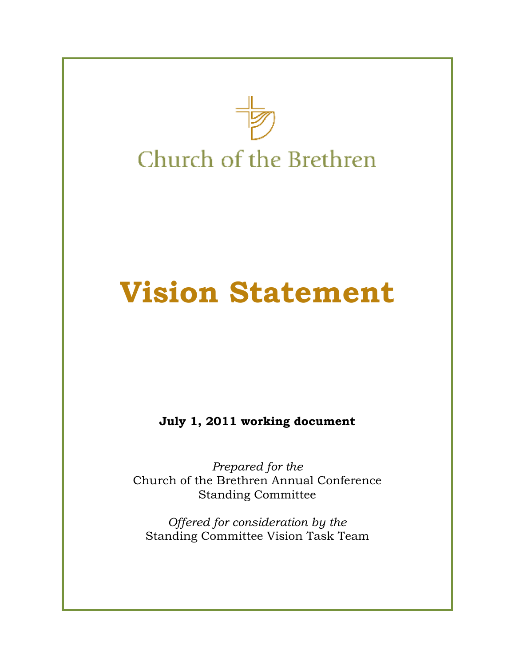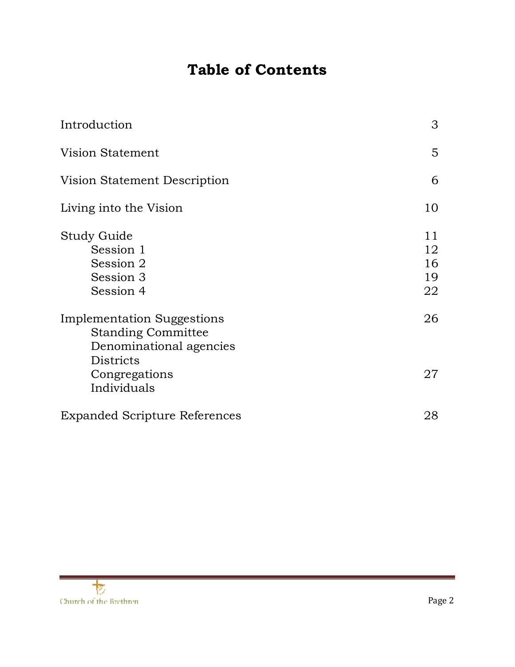# **Table of Contents**

| Introduction                                                                                                  | 3                          |
|---------------------------------------------------------------------------------------------------------------|----------------------------|
| Vision Statement                                                                                              | 5                          |
| Vision Statement Description                                                                                  | 6                          |
| Living into the Vision                                                                                        | 10                         |
| Study Guide<br>Session 1<br>Session 2<br>Session 3<br>Session 4                                               | 11<br>12<br>16<br>19<br>22 |
| <b>Implementation Suggestions</b><br><b>Standing Committee</b><br>Denominational agencies<br><b>Districts</b> | 26                         |
| Congregations<br>Individuals                                                                                  | 27                         |
| <b>Expanded Scripture References</b>                                                                          | 28                         |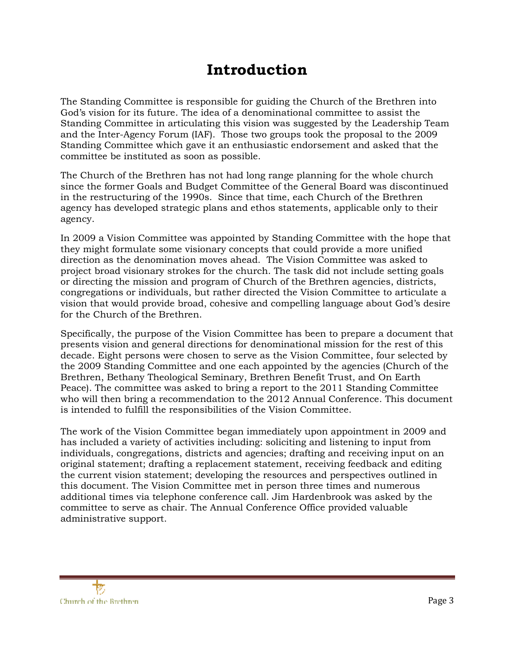# **Introduction**

The Standing Committee is responsible for guiding the Church of the Brethren into God's vision for its future. The idea of a denominational committee to assist the Standing Committee in articulating this vision was suggested by the Leadership Team and the Inter-Agency Forum (IAF). Those two groups took the proposal to the 2009 Standing Committee which gave it an enthusiastic endorsement and asked that the committee be instituted as soon as possible.

The Church of the Brethren has not had long range planning for the whole church since the former Goals and Budget Committee of the General Board was discontinued in the restructuring of the 1990s. Since that time, each Church of the Brethren agency has developed strategic plans and ethos statements, applicable only to their agency.

In 2009 a Vision Committee was appointed by Standing Committee with the hope that they might formulate some visionary concepts that could provide a more unified direction as the denomination moves ahead. The Vision Committee was asked to project broad visionary strokes for the church. The task did not include setting goals or directing the mission and program of Church of the Brethren agencies, districts, congregations or individuals, but rather directed the Vision Committee to articulate a vision that would provide broad, cohesive and compelling language about God's desire for the Church of the Brethren.

Specifically, the purpose of the Vision Committee has been to prepare a document that presents vision and general directions for denominational mission for the rest of this decade. Eight persons were chosen to serve as the Vision Committee, four selected by the 2009 Standing Committee and one each appointed by the agencies (Church of the Brethren, Bethany Theological Seminary, Brethren Benefit Trust, and On Earth Peace). The committee was asked to bring a report to the 2011 Standing Committee who will then bring a recommendation to the 2012 Annual Conference. This document is intended to fulfill the responsibilities of the Vision Committee.

The work of the Vision Committee began immediately upon appointment in 2009 and has included a variety of activities including: soliciting and listening to input from individuals, congregations, districts and agencies; drafting and receiving input on an original statement; drafting a replacement statement, receiving feedback and editing the current vision statement; developing the resources and perspectives outlined in this document. The Vision Committee met in person three times and numerous additional times via telephone conference call. Jim Hardenbrook was asked by the committee to serve as chair. The Annual Conference Office provided valuable administrative support.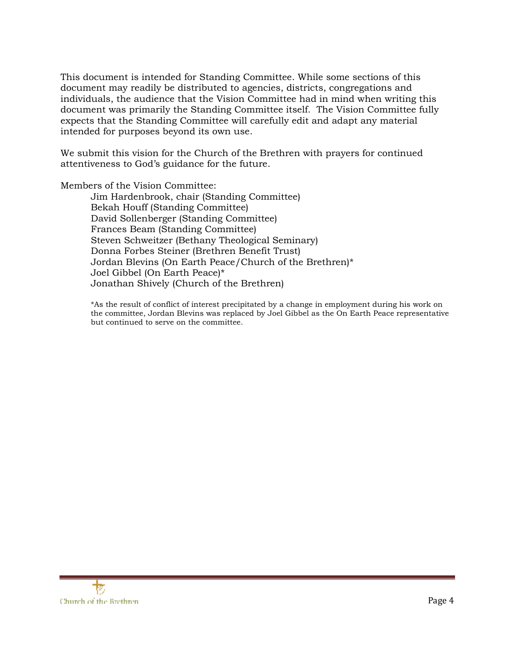This document is intended for Standing Committee. While some sections of this document may readily be distributed to agencies, districts, congregations and individuals, the audience that the Vision Committee had in mind when writing this document was primarily the Standing Committee itself. The Vision Committee fully expects that the Standing Committee will carefully edit and adapt any material intended for purposes beyond its own use.

We submit this vision for the Church of the Brethren with prayers for continued attentiveness to God's guidance for the future.

Members of the Vision Committee:

 Jim Hardenbrook, chair (Standing Committee) Bekah Houff (Standing Committee) David Sollenberger (Standing Committee) Frances Beam (Standing Committee) Steven Schweitzer (Bethany Theological Seminary) Donna Forbes Steiner (Brethren Benefit Trust) Jordan Blevins (On Earth Peace/Church of the Brethren)\* Joel Gibbel (On Earth Peace)\* Jonathan Shively (Church of the Brethren)

\*As the result of conflict of interest precipitated by a change in employment during his work on the committee, Jordan Blevins was replaced by Joel Gibbel as the On Earth Peace representative but continued to serve on the committee.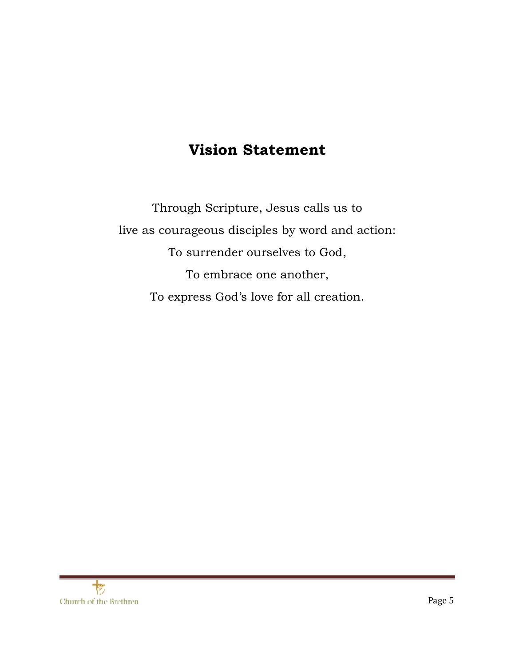# **Vision Statement**

Through Scripture, Jesus calls us to live as courageous disciples by word and action: To surrender ourselves to God, To embrace one another, To express God's love for all creation.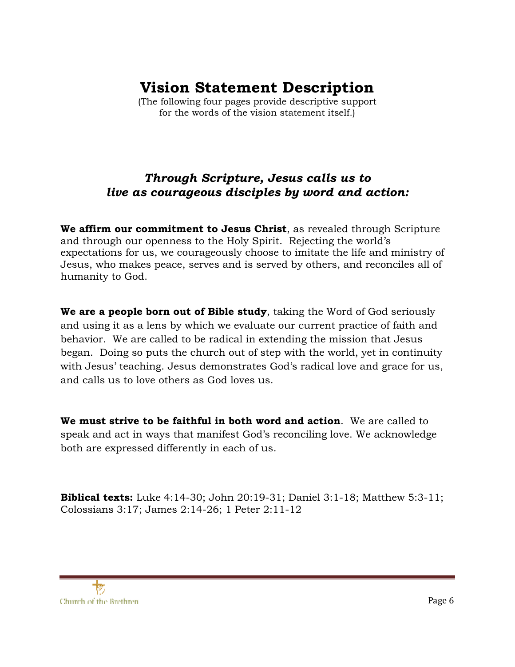# **Vision Statement Description**

(The following four pages provide descriptive support for the words of the vision statement itself.)

# *Through Scripture, Jesus calls us to live as courageous disciples by word and action:*

**We affirm our commitment to Jesus Christ**, as revealed through Scripture and through our openness to the Holy Spirit. Rejecting the world's expectations for us, we courageously choose to imitate the life and ministry of Jesus, who makes peace, serves and is served by others, and reconciles all of humanity to God.

**We are a people born out of Bible study**, taking the Word of God seriously and using it as a lens by which we evaluate our current practice of faith and behavior. We are called to be radical in extending the mission that Jesus began. Doing so puts the church out of step with the world, yet in continuity with Jesus' teaching. Jesus demonstrates God's radical love and grace for us, and calls us to love others as God loves us.

**We must strive to be faithful in both word and action**. We are called to speak and act in ways that manifest God's reconciling love. We acknowledge both are expressed differently in each of us.

**Biblical texts:** Luke 4:14-30; John 20:19-31; Daniel 3:1-18; Matthew 5:3-11; Colossians 3:17; James 2:14-26; 1 Peter 2:11-12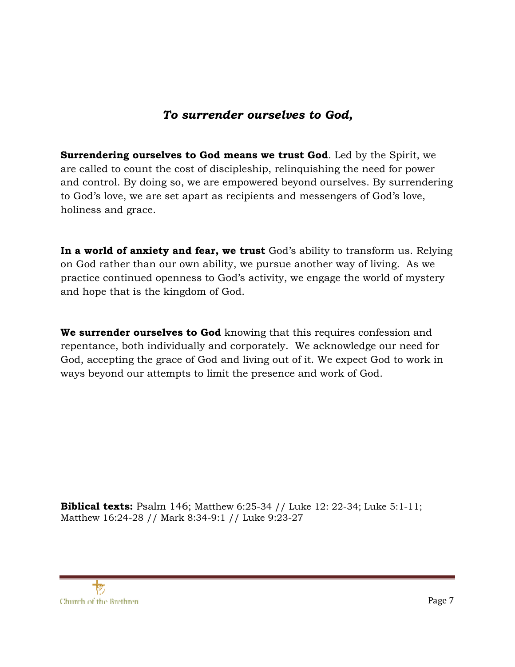# *To surrender ourselves to God,*

**Surrendering ourselves to God means we trust God**. Led by the Spirit, we are called to count the cost of discipleship, relinquishing the need for power and control. By doing so, we are empowered beyond ourselves. By surrendering to God's love, we are set apart as recipients and messengers of God's love, holiness and grace.

**In a world of anxiety and fear, we trust** God's ability to transform us. Relying on God rather than our own ability, we pursue another way of living. As we practice continued openness to God's activity, we engage the world of mystery and hope that is the kingdom of God.

**We surrender ourselves to God** knowing that this requires confession and repentance, both individually and corporately. We acknowledge our need for God, accepting the grace of God and living out of it. We expect God to work in ways beyond our attempts to limit the presence and work of God.

**Biblical texts:** Psalm 146; Matthew 6:25-34 // Luke 12: 22-34; Luke 5:1-11; Matthew 16:24-28 // Mark 8:34-9:1 // Luke 9:23-27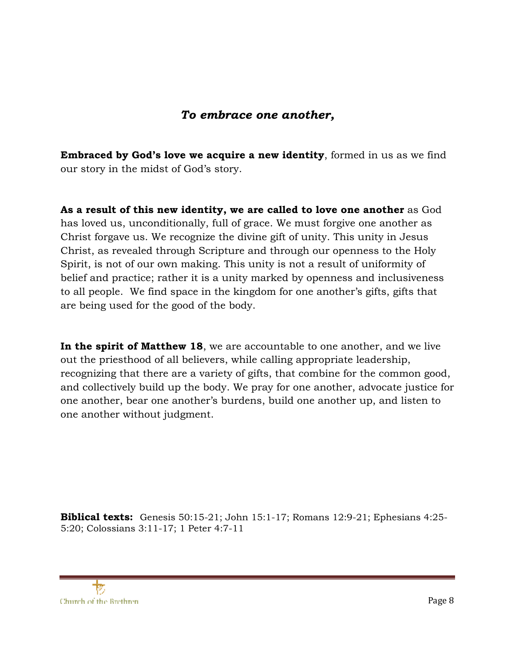# *To embrace one another,*

**Embraced by God's love we acquire a new identity**, formed in us as we find our story in the midst of God's story.

**As a result of this new identity, we are called to love one another** as God has loved us, unconditionally, full of grace. We must forgive one another as Christ forgave us. We recognize the divine gift of unity. This unity in Jesus Christ, as revealed through Scripture and through our openness to the Holy Spirit, is not of our own making. This unity is not a result of uniformity of belief and practice; rather it is a unity marked by openness and inclusiveness to all people. We find space in the kingdom for one another's gifts, gifts that are being used for the good of the body.

**In the spirit of Matthew 18**, we are accountable to one another, and we live out the priesthood of all believers, while calling appropriate leadership, recognizing that there are a variety of gifts, that combine for the common good, and collectively build up the body. We pray for one another, advocate justice for one another, bear one another's burdens, build one another up, and listen to one another without judgment.

**Biblical texts:** Genesis 50:15-21; John 15:1-17; Romans 12:9-21; Ephesians 4:25- 5:20; Colossians 3:11-17; 1 Peter 4:7-11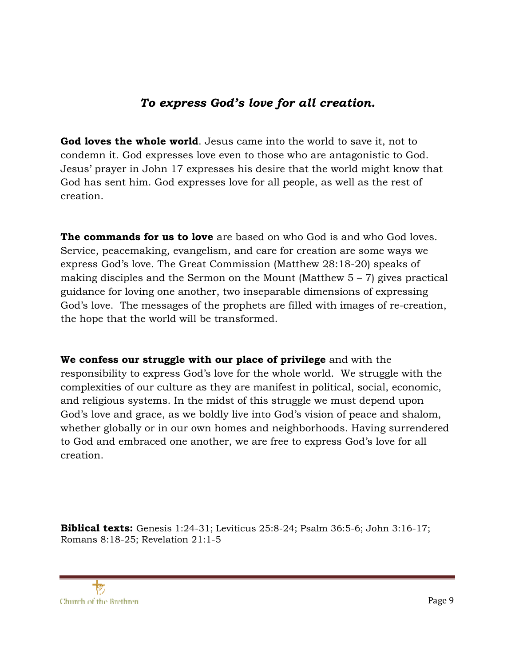# *To express God's love for all creation.*

**God loves the whole world**. Jesus came into the world to save it, not to condemn it. God expresses love even to those who are antagonistic to God. Jesus' prayer in John 17 expresses his desire that the world might know that God has sent him. God expresses love for all people, as well as the rest of creation.

**The commands for us to love** are based on who God is and who God loves. Service, peacemaking, evangelism, and care for creation are some ways we express God's love. The Great Commission (Matthew 28:18-20) speaks of making disciples and the Sermon on the Mount (Matthew  $5 - 7$ ) gives practical guidance for loving one another, two inseparable dimensions of expressing God's love. The messages of the prophets are filled with images of re-creation, the hope that the world will be transformed.

**We confess our struggle with our place of privilege** and with the responsibility to express God's love for the whole world. We struggle with the complexities of our culture as they are manifest in political, social, economic, and religious systems. In the midst of this struggle we must depend upon God's love and grace, as we boldly live into God's vision of peace and shalom, whether globally or in our own homes and neighborhoods. Having surrendered to God and embraced one another, we are free to express God's love for all creation.

**Biblical texts:** Genesis 1:24-31; Leviticus 25:8-24; Psalm 36:5-6; John 3:16-17; Romans 8:18-25; Revelation 21:1-5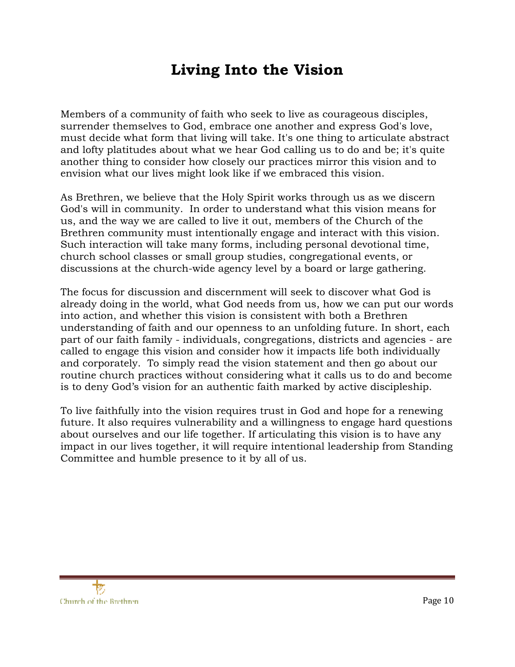# **Living Into the Vision**

Members of a community of faith who seek to live as courageous disciples, surrender themselves to God, embrace one another and express God's love, must decide what form that living will take. It's one thing to articulate abstract and lofty platitudes about what we hear God calling us to do and be; it's quite another thing to consider how closely our practices mirror this vision and to envision what our lives might look like if we embraced this vision.

As Brethren, we believe that the Holy Spirit works through us as we discern God's will in community. In order to understand what this vision means for us, and the way we are called to live it out, members of the Church of the Brethren community must intentionally engage and interact with this vision. Such interaction will take many forms, including personal devotional time, church school classes or small group studies, congregational events, or discussions at the church-wide agency level by a board or large gathering.

The focus for discussion and discernment will seek to discover what God is already doing in the world, what God needs from us, how we can put our words into action, and whether this vision is consistent with both a Brethren understanding of faith and our openness to an unfolding future. In short, each part of our faith family - individuals, congregations, districts and agencies - are called to engage this vision and consider how it impacts life both individually and corporately. To simply read the vision statement and then go about our routine church practices without considering what it calls us to do and become is to deny God's vision for an authentic faith marked by active discipleship.

To live faithfully into the vision requires trust in God and hope for a renewing future. It also requires vulnerability and a willingness to engage hard questions about ourselves and our life together. If articulating this vision is to have any impact in our lives together, it will require intentional leadership from Standing Committee and humble presence to it by all of us.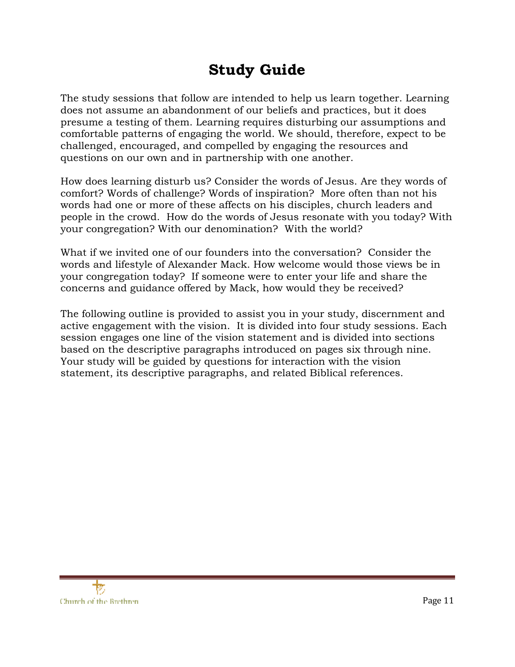# **Study Guide**

The study sessions that follow are intended to help us learn together. Learning does not assume an abandonment of our beliefs and practices, but it does presume a testing of them. Learning requires disturbing our assumptions and comfortable patterns of engaging the world. We should, therefore, expect to be challenged, encouraged, and compelled by engaging the resources and questions on our own and in partnership with one another.

How does learning disturb us? Consider the words of Jesus. Are they words of comfort? Words of challenge? Words of inspiration? More often than not his words had one or more of these affects on his disciples, church leaders and people in the crowd. How do the words of Jesus resonate with you today? With your congregation? With our denomination? With the world?

What if we invited one of our founders into the conversation? Consider the words and lifestyle of Alexander Mack. How welcome would those views be in your congregation today? If someone were to enter your life and share the concerns and guidance offered by Mack, how would they be received?

The following outline is provided to assist you in your study, discernment and active engagement with the vision. It is divided into four study sessions. Each session engages one line of the vision statement and is divided into sections based on the descriptive paragraphs introduced on pages six through nine. Your study will be guided by questions for interaction with the vision statement, its descriptive paragraphs, and related Biblical references.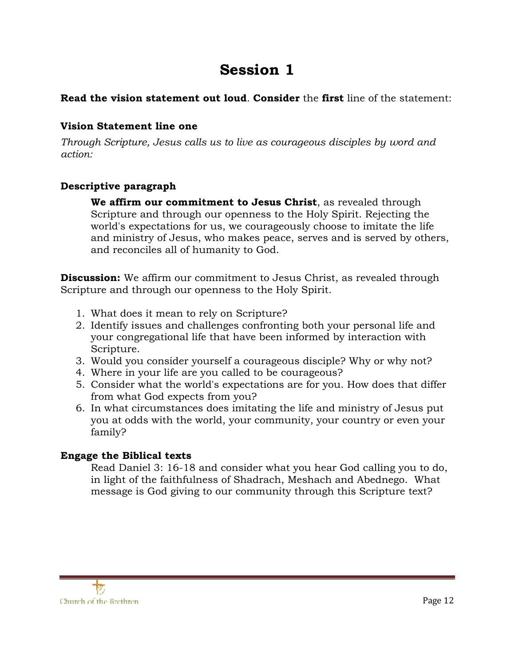# **Session 1**

# **Read the vision statement out loud**. **Consider** the **first** line of the statement:

### **Vision Statement line one**

*Through Scripture, Jesus calls us to live as courageous disciples by word and action:* 

# **Descriptive paragraph**

**We affirm our commitment to Jesus Christ**, as revealed through Scripture and through our openness to the Holy Spirit. Rejecting the world's expectations for us, we courageously choose to imitate the life and ministry of Jesus, who makes peace, serves and is served by others, and reconciles all of humanity to God.

**Discussion:** We affirm our commitment to Jesus Christ, as revealed through Scripture and through our openness to the Holy Spirit.

- 1. What does it mean to rely on Scripture?
- 2. Identify issues and challenges confronting both your personal life and your congregational life that have been informed by interaction with Scripture.
- 3. Would you consider yourself a courageous disciple? Why or why not?
- 4. Where in your life are you called to be courageous?
- 5. Consider what the world's expectations are for you. How does that differ from what God expects from you?
- 6. In what circumstances does imitating the life and ministry of Jesus put you at odds with the world, your community, your country or even your family?

# **Engage the Biblical texts**

Read Daniel 3: 16-18 and consider what you hear God calling you to do, in light of the faithfulness of Shadrach, Meshach and Abednego. What message is God giving to our community through this Scripture text?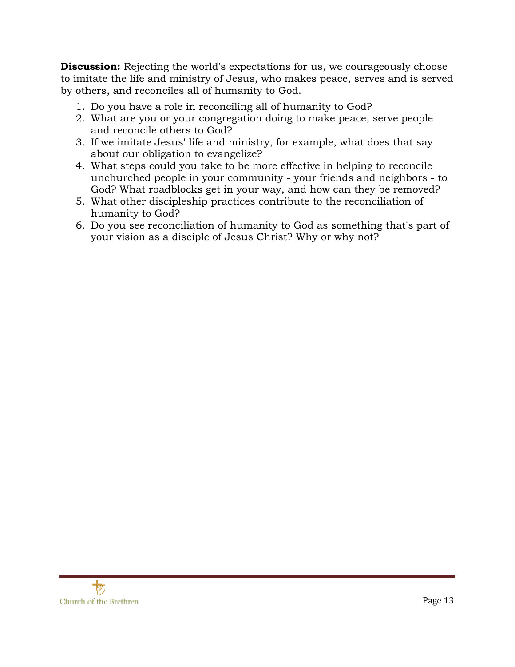**Discussion:** Rejecting the world's expectations for us, we courageously choose to imitate the life and ministry of Jesus, who makes peace, serves and is served by others, and reconciles all of humanity to God.

- 1. Do you have a role in reconciling all of humanity to God?
- 2. What are you or your congregation doing to make peace, serve people and reconcile others to God?
- 3. If we imitate Jesus' life and ministry, for example, what does that say about our obligation to evangelize?
- 4. What steps could you take to be more effective in helping to reconcile unchurched people in your community - your friends and neighbors - to God? What roadblocks get in your way, and how can they be removed?
- 5. What other discipleship practices contribute to the reconciliation of humanity to God?
- 6. Do you see reconciliation of humanity to God as something that's part of your vision as a disciple of Jesus Christ? Why or why not?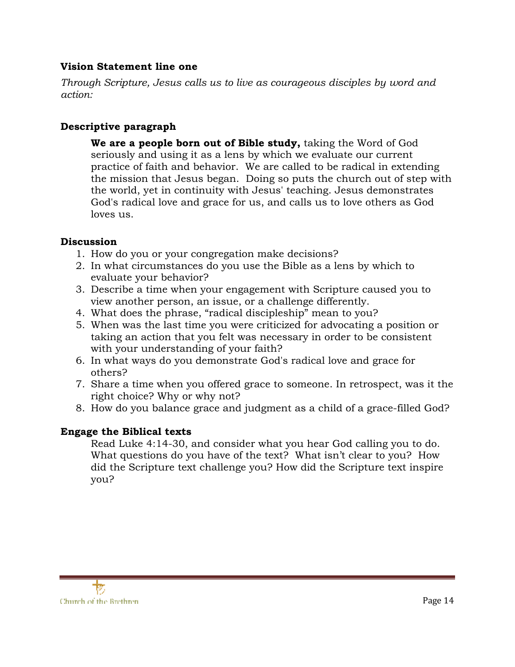### **Vision Statement line one**

*Through Scripture, Jesus calls us to live as courageous disciples by word and action:* 

# **Descriptive paragraph**

**We are a people born out of Bible study,** taking the Word of God seriously and using it as a lens by which we evaluate our current practice of faith and behavior. We are called to be radical in extending the mission that Jesus began. Doing so puts the church out of step with the world, yet in continuity with Jesus' teaching. Jesus demonstrates God's radical love and grace for us, and calls us to love others as God loves us.

#### **Discussion**

- 1. How do you or your congregation make decisions?
- 2. In what circumstances do you use the Bible as a lens by which to evaluate your behavior?
- 3. Describe a time when your engagement with Scripture caused you to view another person, an issue, or a challenge differently.
- 4. What does the phrase, "radical discipleship" mean to you?
- 5. When was the last time you were criticized for advocating a position or taking an action that you felt was necessary in order to be consistent with your understanding of your faith?
- 6. In what ways do you demonstrate God's radical love and grace for others?
- 7. Share a time when you offered grace to someone. In retrospect, was it the right choice? Why or why not?
- 8. How do you balance grace and judgment as a child of a grace-filled God?

# **Engage the Biblical texts**

Read Luke 4:14-30, and consider what you hear God calling you to do. What questions do you have of the text? What isn't clear to you? How did the Scripture text challenge you? How did the Scripture text inspire you?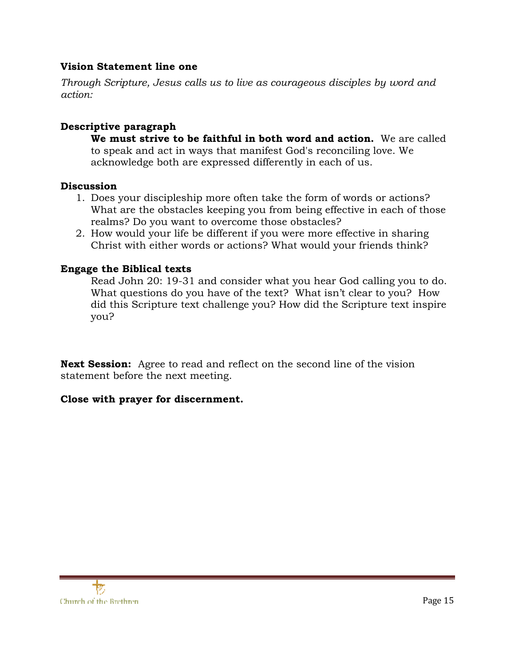#### **Vision Statement line one**

*Through Scripture, Jesus calls us to live as courageous disciples by word and action:* 

# **Descriptive paragraph**

**We must strive to be faithful in both word and action.** We are called to speak and act in ways that manifest God's reconciling love. We acknowledge both are expressed differently in each of us.

#### **Discussion**

- 1. Does your discipleship more often take the form of words or actions? What are the obstacles keeping you from being effective in each of those realms? Do you want to overcome those obstacles?
- 2. How would your life be different if you were more effective in sharing Christ with either words or actions? What would your friends think?

# **Engage the Biblical texts**

Read John 20: 19-31 and consider what you hear God calling you to do. What questions do you have of the text? What isn't clear to you? How did this Scripture text challenge you? How did the Scripture text inspire you?

**Next Session:** Agree to read and reflect on the second line of the vision statement before the next meeting.

# **Close with prayer for discernment.**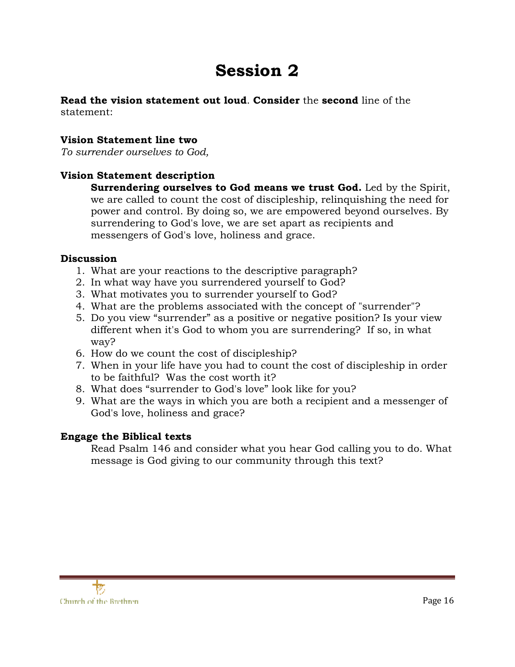# **Session 2**

#### **Read the vision statement out loud**. **Consider** the **second** line of the statement:

#### **Vision Statement line two**

*To surrender ourselves to God,* 

# **Vision Statement description**

**Surrendering ourselves to God means we trust God.** Led by the Spirit, we are called to count the cost of discipleship, relinquishing the need for power and control. By doing so, we are empowered beyond ourselves. By surrendering to God's love, we are set apart as recipients and messengers of God's love, holiness and grace.

#### **Discussion**

- 1. What are your reactions to the descriptive paragraph?
- 2. In what way have you surrendered yourself to God?
- 3. What motivates you to surrender yourself to God?
- 4. What are the problems associated with the concept of "surrender"?
- 5. Do you view "surrender" as a positive or negative position? Is your view different when it's God to whom you are surrendering? If so, in what way?
- 6. How do we count the cost of discipleship?
- 7. When in your life have you had to count the cost of discipleship in order to be faithful? Was the cost worth it?
- 8. What does "surrender to God's love" look like for you?
- 9. What are the ways in which you are both a recipient and a messenger of God's love, holiness and grace?

# **Engage the Biblical texts**

Read Psalm 146 and consider what you hear God calling you to do. What message is God giving to our community through this text?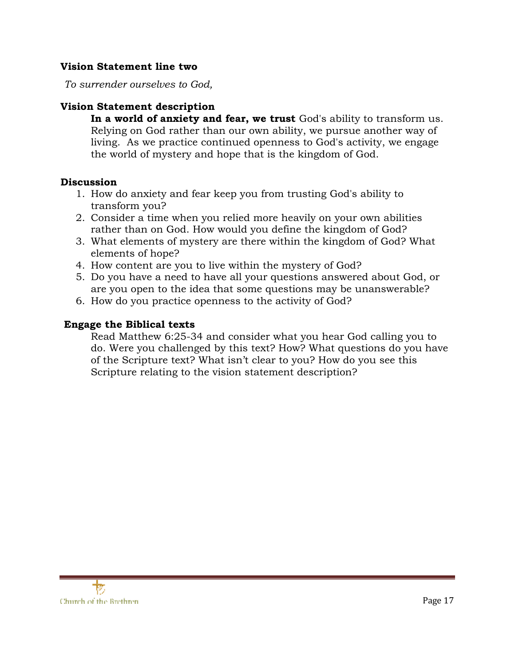#### **Vision Statement line two**

*To surrender ourselves to God,* 

#### **Vision Statement description**

**In a world of anxiety and fear, we trust** God's ability to transform us. Relying on God rather than our own ability, we pursue another way of living. As we practice continued openness to God's activity, we engage the world of mystery and hope that is the kingdom of God.

#### **Discussion**

- 1. How do anxiety and fear keep you from trusting God's ability to transform you?
- 2. Consider a time when you relied more heavily on your own abilities rather than on God. How would you define the kingdom of God?
- 3. What elements of mystery are there within the kingdom of God? What elements of hope?
- 4. How content are you to live within the mystery of God?
- 5. Do you have a need to have all your questions answered about God, or are you open to the idea that some questions may be unanswerable?
- 6. How do you practice openness to the activity of God?

#### **Engage the Biblical texts**

Read Matthew 6:25-34 and consider what you hear God calling you to do. Were you challenged by this text? How? What questions do you have of the Scripture text? What isn't clear to you? How do you see this Scripture relating to the vision statement description?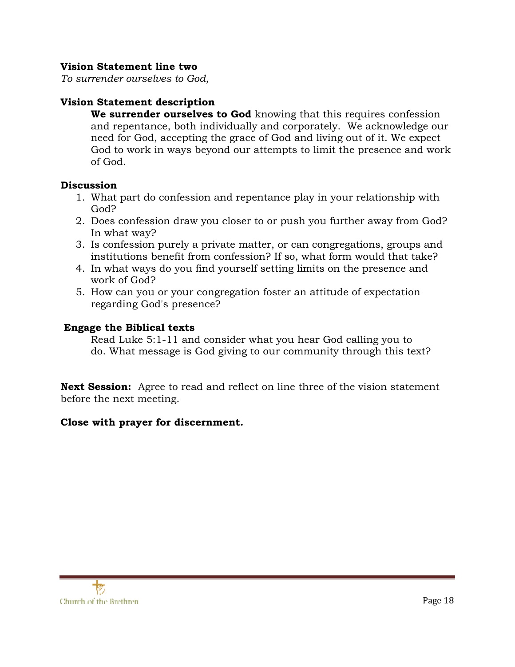#### **Vision Statement line two**

*To surrender ourselves to God,* 

# **Vision Statement description**

**We surrender ourselves to God** knowing that this requires confession and repentance, both individually and corporately. We acknowledge our need for God, accepting the grace of God and living out of it. We expect God to work in ways beyond our attempts to limit the presence and work of God.

#### **Discussion**

- 1. What part do confession and repentance play in your relationship with God?
- 2. Does confession draw you closer to or push you further away from God? In what way?
- 3. Is confession purely a private matter, or can congregations, groups and institutions benefit from confession? If so, what form would that take?
- 4. In what ways do you find yourself setting limits on the presence and work of God?
- 5. How can you or your congregation foster an attitude of expectation regarding God's presence?

# **Engage the Biblical texts**

Read Luke 5:1-11 and consider what you hear God calling you to do. What message is God giving to our community through this text?

**Next Session:** Agree to read and reflect on line three of the vision statement before the next meeting.

# **Close with prayer for discernment.**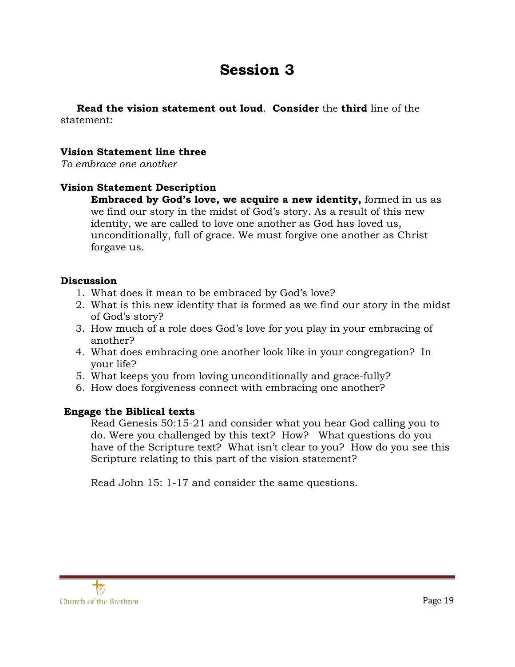# **Session 3**

 **Read the vision statement out loud**. **Consider** the **third** line of the statement:

#### **Vision Statement line three**

*To embrace one another* 

#### **Vision Statement Description**

**Embraced by God's love, we acquire a new identity,** formed in us as we find our story in the midst of God's story. As a result of this new identity, we are called to love one another as God has loved us, unconditionally, full of grace. We must forgive one another as Christ forgave us.

#### **Discussion**

- 1. What does it mean to be embraced by God's love?
- 2. What is this new identity that is formed as we find our story in the midst of God's story?
- 3. How much of a role does God's love for you play in your embracing of another?
- 4. What does embracing one another look like in your congregation? In your life?
- 5. What keeps you from loving unconditionally and grace-fully?
- 6. How does forgiveness connect with embracing one another?

# **Engage the Biblical texts**

Read Genesis 50:15-21 and consider what you hear God calling you to do. Were you challenged by this text? How? What questions do you have of the Scripture text? What isn't clear to you? How do you see this Scripture relating to this part of the vision statement?

Read John 15: 1-17 and consider the same questions.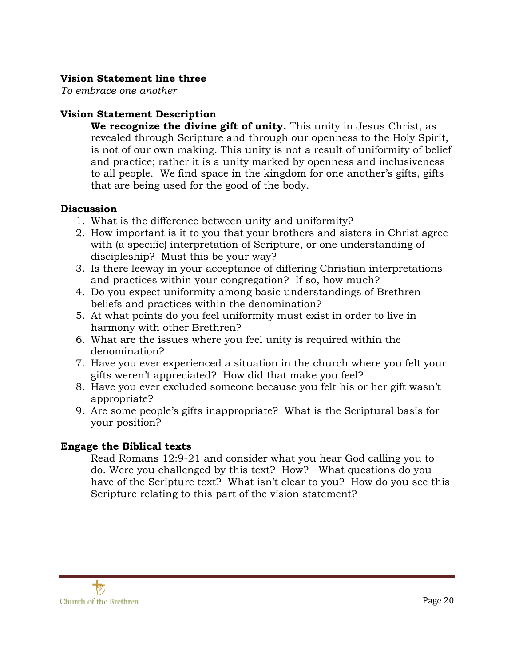# **Vision Statement line three**

*To embrace one another* 

# **Vision Statement Description**

**We recognize the divine gift of unity.** This unity in Jesus Christ, as revealed through Scripture and through our openness to the Holy Spirit, is not of our own making. This unity is not a result of uniformity of belief and practice; rather it is a unity marked by openness and inclusiveness to all people. We find space in the kingdom for one another's gifts, gifts that are being used for the good of the body.

#### **Discussion**

- 1. What is the difference between unity and uniformity?
- 2. How important is it to you that your brothers and sisters in Christ agree with (a specific) interpretation of Scripture, or one understanding of discipleship? Must this be your way?
- 3. Is there leeway in your acceptance of differing Christian interpretations and practices within your congregation? If so, how much?
- 4. Do you expect uniformity among basic understandings of Brethren beliefs and practices within the denomination?
- 5. At what points do you feel uniformity must exist in order to live in harmony with other Brethren?
- 6. What are the issues where you feel unity is required within the denomination?
- 7. Have you ever experienced a situation in the church where you felt your gifts weren't appreciated? How did that make you feel?
- 8. Have you ever excluded someone because you felt his or her gift wasn't appropriate?
- 9. Are some people's gifts inappropriate? What is the Scriptural basis for your position?

# **Engage the Biblical texts**

Read Romans 12:9-21 and consider what you hear God calling you to do. Were you challenged by this text? How? What questions do you have of the Scripture text? What isn't clear to you? How do you see this Scripture relating to this part of the vision statement?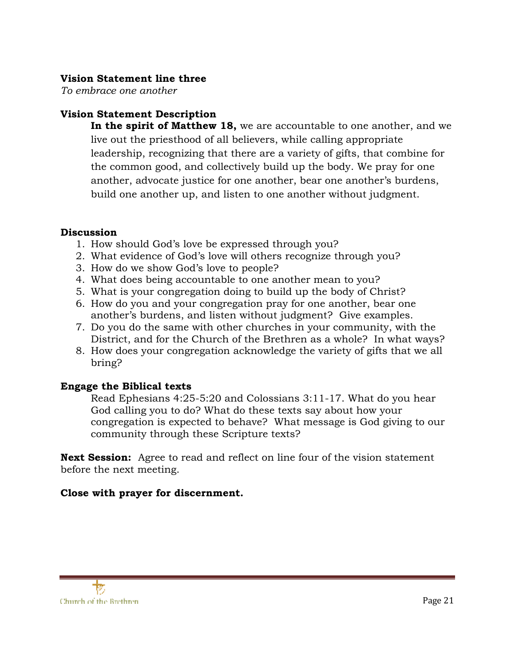### **Vision Statement line three**

*To embrace one another* 

# **Vision Statement Description**

**In the spirit of Matthew 18,** we are accountable to one another, and we live out the priesthood of all believers, while calling appropriate leadership, recognizing that there are a variety of gifts, that combine for the common good, and collectively build up the body. We pray for one another, advocate justice for one another, bear one another's burdens, build one another up, and listen to one another without judgment.

#### **Discussion**

- 1. How should God's love be expressed through you?
- 2. What evidence of God's love will others recognize through you?
- 3. How do we show God's love to people?
- 4. What does being accountable to one another mean to you?
- 5. What is your congregation doing to build up the body of Christ?
- 6. How do you and your congregation pray for one another, bear one another's burdens, and listen without judgment? Give examples.
- 7. Do you do the same with other churches in your community, with the District, and for the Church of the Brethren as a whole? In what ways?
- 8. How does your congregation acknowledge the variety of gifts that we all bring?

#### **Engage the Biblical texts**

Read Ephesians 4:25-5:20 and Colossians 3:11-17. What do you hear God calling you to do? What do these texts say about how your congregation is expected to behave? What message is God giving to our community through these Scripture texts?

**Next Session:** Agree to read and reflect on line four of the vision statement before the next meeting.

# **Close with prayer for discernment.**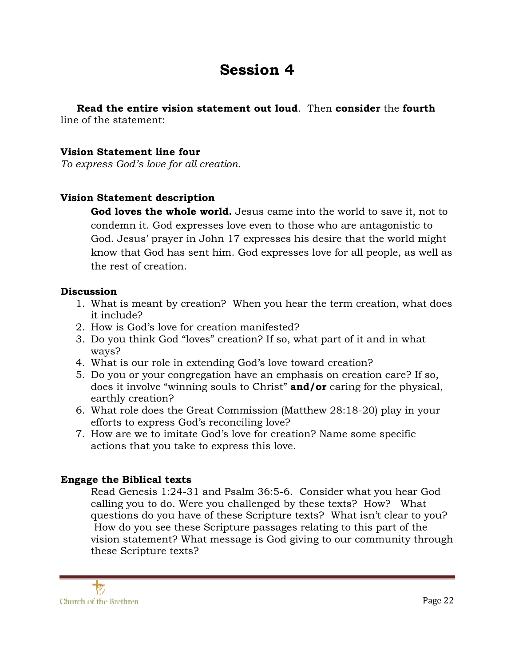# **Session 4**

 **Read the entire vision statement out loud**. Then **consider** the **fourth** line of the statement:

#### **Vision Statement line four**

*To express God's love for all creation.* 

#### **Vision Statement description**

**God loves the whole world.** Jesus came into the world to save it, not to condemn it. God expresses love even to those who are antagonistic to God. Jesus' prayer in John 17 expresses his desire that the world might know that God has sent him. God expresses love for all people, as well as the rest of creation.

#### **Discussion**

- 1. What is meant by creation? When you hear the term creation, what does it include?
- 2. How is God's love for creation manifested?
- 3. Do you think God "loves" creation? If so, what part of it and in what ways?
- 4. What is our role in extending God's love toward creation?
- 5. Do you or your congregation have an emphasis on creation care? If so, does it involve "winning souls to Christ" **and/or** caring for the physical, earthly creation?
- 6. What role does the Great Commission (Matthew 28:18-20) play in your efforts to express God's reconciling love?
- 7. How are we to imitate God's love for creation? Name some specific actions that you take to express this love.

#### **Engage the Biblical texts**

Read Genesis 1:24-31 and Psalm 36:5-6. Consider what you hear God calling you to do. Were you challenged by these texts? How? What questions do you have of these Scripture texts? What isn't clear to you? How do you see these Scripture passages relating to this part of the vision statement? What message is God giving to our community through these Scripture texts?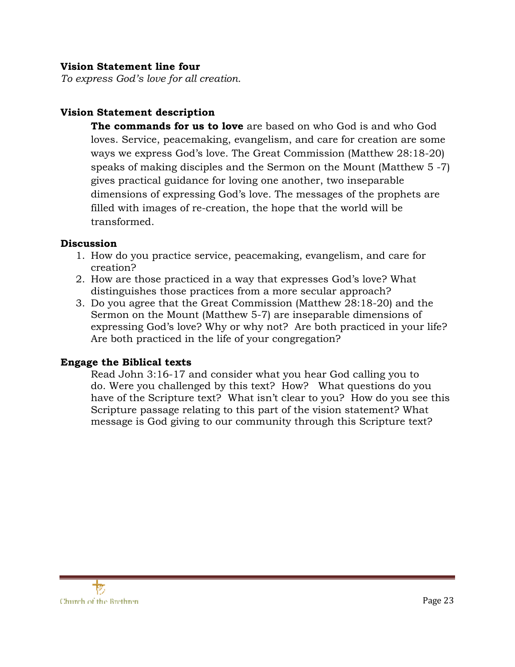#### **Vision Statement line four**

*To express God's love for all creation.* 

#### **Vision Statement description**

**The commands for us to love** are based on who God is and who God loves. Service, peacemaking, evangelism, and care for creation are some ways we express God's love. The Great Commission (Matthew 28:18-20) speaks of making disciples and the Sermon on the Mount (Matthew 5 -7) gives practical guidance for loving one another, two inseparable dimensions of expressing God's love. The messages of the prophets are filled with images of re-creation, the hope that the world will be transformed.

#### **Discussion**

- 1. How do you practice service, peacemaking, evangelism, and care for creation?
- 2. How are those practiced in a way that expresses God's love? What distinguishes those practices from a more secular approach?
- 3. Do you agree that the Great Commission (Matthew 28:18-20) and the Sermon on the Mount (Matthew 5-7) are inseparable dimensions of expressing God's love? Why or why not? Are both practiced in your life? Are both practiced in the life of your congregation?

#### **Engage the Biblical texts**

Read John 3:16-17 and consider what you hear God calling you to do. Were you challenged by this text? How? What questions do you have of the Scripture text? What isn't clear to you? How do you see this Scripture passage relating to this part of the vision statement? What message is God giving to our community through this Scripture text?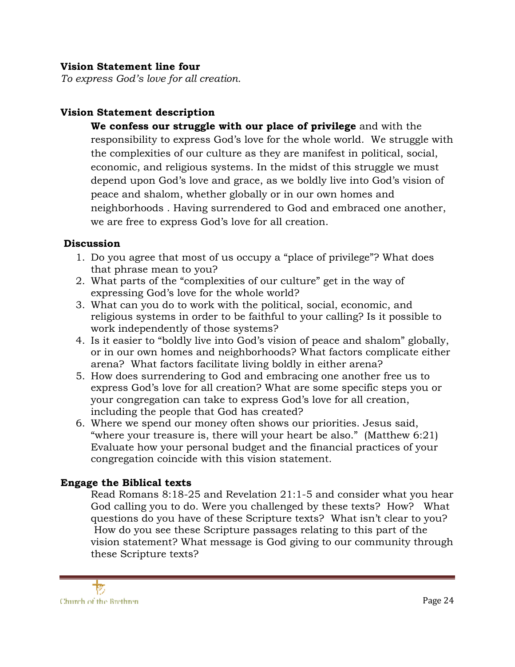#### **Vision Statement line four**

*To express God's love for all creation.* 

# **Vision Statement description**

**We confess our struggle with our place of privilege** and with the responsibility to express God's love for the whole world. We struggle with the complexities of our culture as they are manifest in political, social, economic, and religious systems. In the midst of this struggle we must depend upon God's love and grace, as we boldly live into God's vision of peace and shalom, whether globally or in our own homes and neighborhoods . Having surrendered to God and embraced one another, we are free to express God's love for all creation.

#### **Discussion**

- 1. Do you agree that most of us occupy a "place of privilege"? What does that phrase mean to you?
- 2. What parts of the "complexities of our culture" get in the way of expressing God's love for the whole world?
- 3. What can you do to work with the political, social, economic, and religious systems in order to be faithful to your calling? Is it possible to work independently of those systems?
- 4. Is it easier to "boldly live into God's vision of peace and shalom" globally, or in our own homes and neighborhoods? What factors complicate either arena? What factors facilitate living boldly in either arena?
- 5. How does surrendering to God and embracing one another free us to express God's love for all creation? What are some specific steps you or your congregation can take to express God's love for all creation, including the people that God has created?
- 6. Where we spend our money often shows our priorities. Jesus said, "where your treasure is, there will your heart be also." (Matthew 6:21) Evaluate how your personal budget and the financial practices of your congregation coincide with this vision statement.

# **Engage the Biblical texts**

Read Romans 8:18-25 and Revelation 21:1-5 and consider what you hear God calling you to do. Were you challenged by these texts? How? What questions do you have of these Scripture texts? What isn't clear to you? How do you see these Scripture passages relating to this part of the vision statement? What message is God giving to our community through these Scripture texts?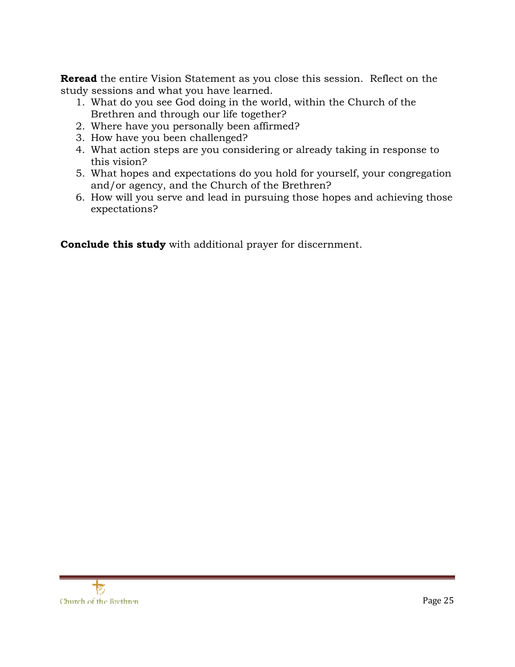**Reread** the entire Vision Statement as you close this session. Reflect on the study sessions and what you have learned.

- 1. What do you see God doing in the world, within the Church of the Brethren and through our life together?
- 2. Where have you personally been affirmed?
- 3. How have you been challenged?
- 4. What action steps are you considering or already taking in response to this vision?
- 5. What hopes and expectations do you hold for yourself, your congregation and/or agency, and the Church of the Brethren?
- 6. How will you serve and lead in pursuing those hopes and achieving those expectations?

**Conclude this study** with additional prayer for discernment.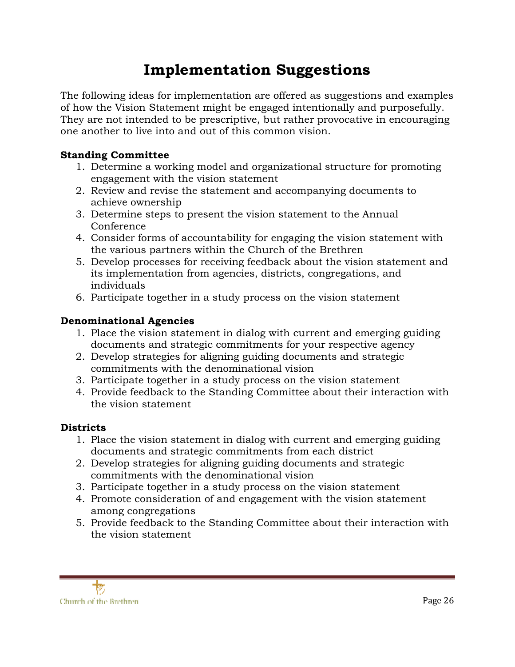# **Implementation Suggestions**

The following ideas for implementation are offered as suggestions and examples of how the Vision Statement might be engaged intentionally and purposefully. They are not intended to be prescriptive, but rather provocative in encouraging one another to live into and out of this common vision.

# **Standing Committee**

- 1. Determine a working model and organizational structure for promoting engagement with the vision statement
- 2. Review and revise the statement and accompanying documents to achieve ownership
- 3. Determine steps to present the vision statement to the Annual Conference
- 4. Consider forms of accountability for engaging the vision statement with the various partners within the Church of the Brethren
- 5. Develop processes for receiving feedback about the vision statement and its implementation from agencies, districts, congregations, and individuals
- 6. Participate together in a study process on the vision statement

# **Denominational Agencies**

- 1. Place the vision statement in dialog with current and emerging guiding documents and strategic commitments for your respective agency
- 2. Develop strategies for aligning guiding documents and strategic commitments with the denominational vision
- 3. Participate together in a study process on the vision statement
- 4. Provide feedback to the Standing Committee about their interaction with the vision statement

# **Districts**

- 1. Place the vision statement in dialog with current and emerging guiding documents and strategic commitments from each district
- 2. Develop strategies for aligning guiding documents and strategic commitments with the denominational vision
- 3. Participate together in a study process on the vision statement
- 4. Promote consideration of and engagement with the vision statement among congregations
- 5. Provide feedback to the Standing Committee about their interaction with the vision statement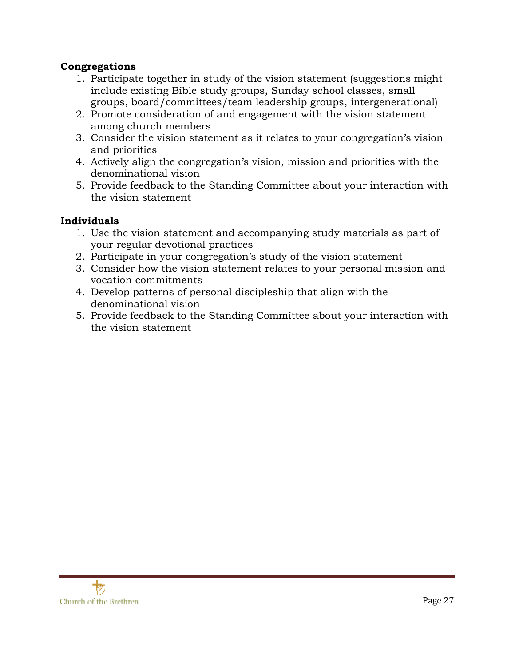# **Congregations**

- 1. Participate together in study of the vision statement (suggestions might include existing Bible study groups, Sunday school classes, small groups, board/committees/team leadership groups, intergenerational)
- 2. Promote consideration of and engagement with the vision statement among church members
- 3. Consider the vision statement as it relates to your congregation's vision and priorities
- 4. Actively align the congregation's vision, mission and priorities with the denominational vision
- 5. Provide feedback to the Standing Committee about your interaction with the vision statement

# **Individuals**

- 1. Use the vision statement and accompanying study materials as part of your regular devotional practices
- 2. Participate in your congregation's study of the vision statement
- 3. Consider how the vision statement relates to your personal mission and vocation commitments
- 4. Develop patterns of personal discipleship that align with the denominational vision
- 5. Provide feedback to the Standing Committee about your interaction with the vision statement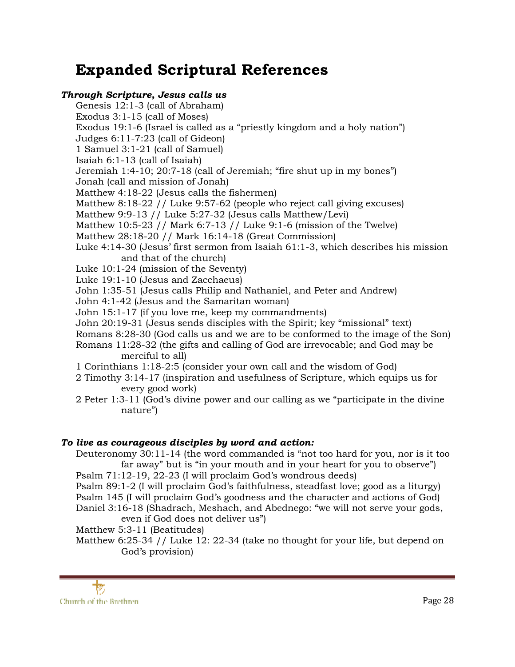# **Expanded Scriptural References**

#### *Through Scripture, Jesus calls us*

Genesis 12:1-3 (call of Abraham) Exodus 3:1-15 (call of Moses) Exodus 19:1-6 (Israel is called as a "priestly kingdom and a holy nation") Judges 6:11-7:23 (call of Gideon) 1 Samuel 3:1-21 (call of Samuel) Isaiah 6:1-13 (call of Isaiah) Jeremiah 1:4-10; 20:7-18 (call of Jeremiah; "fire shut up in my bones") Jonah (call and mission of Jonah) Matthew 4:18-22 (Jesus calls the fishermen) Matthew 8:18-22 // Luke 9:57-62 (people who reject call giving excuses) Matthew 9:9-13 // Luke 5:27-32 (Jesus calls Matthew/Levi) Matthew 10:5-23 // Mark 6:7-13 // Luke 9:1-6 (mission of the Twelve) Matthew 28:18-20 // Mark 16:14-18 (Great Commission) Luke 4:14-30 (Jesus' first sermon from Isaiah 61:1-3, which describes his mission and that of the church) Luke 10:1-24 (mission of the Seventy) Luke 19:1-10 (Jesus and Zacchaeus) John 1:35-51 (Jesus calls Philip and Nathaniel, and Peter and Andrew) John 4:1-42 (Jesus and the Samaritan woman) John 15:1-17 (if you love me, keep my commandments) John 20:19-31 (Jesus sends disciples with the Spirit; key "missional" text) Romans 8:28-30 (God calls us and we are to be conformed to the image of the Son) Romans 11:28-32 (the gifts and calling of God are irrevocable; and God may be merciful to all) 1 Corinthians 1:18-2:5 (consider your own call and the wisdom of God) 2 Timothy 3:14-17 (inspiration and usefulness of Scripture, which equips us for every good work)

2 Peter 1:3-11 (God's divine power and our calling as we "participate in the divine nature")

#### *To live as courageous disciples by word and action:*

Deuteronomy 30:11-14 (the word commanded is "not too hard for you, nor is it too far away" but is "in your mouth and in your heart for you to observe")

- Psalm 71:12-19, 22-23 (I will proclaim God's wondrous deeds)
- Psalm 89:1-2 (I will proclaim God's faithfulness, steadfast love; good as a liturgy)
- Psalm 145 (I will proclaim God's goodness and the character and actions of God)
- Daniel 3:16-18 (Shadrach, Meshach, and Abednego: "we will not serve your gods, even if God does not deliver us")

Matthew 5:3-11 (Beatitudes)

Matthew 6:25-34 // Luke 12: 22-34 (take no thought for your life, but depend on God's provision)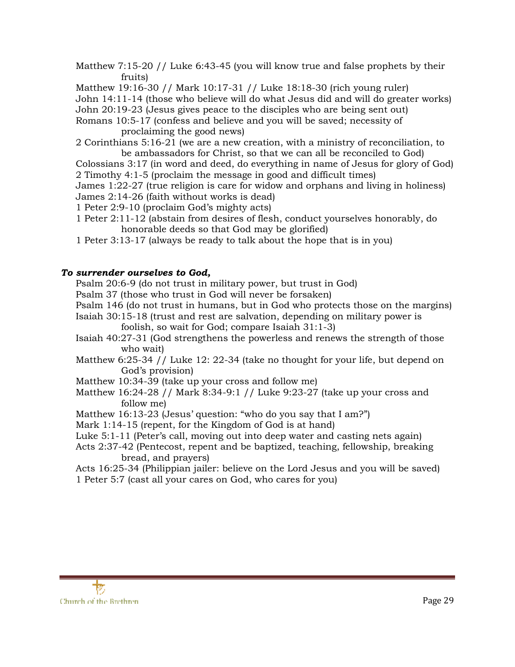Matthew 7:15-20 // Luke 6:43-45 (you will know true and false prophets by their fruits)

Matthew 19:16-30 // Mark 10:17-31 // Luke 18:18-30 (rich young ruler)

John 14:11-14 (those who believe will do what Jesus did and will do greater works)

John 20:19-23 (Jesus gives peace to the disciples who are being sent out)

Romans 10:5-17 (confess and believe and you will be saved; necessity of

proclaiming the good news)

2 Corinthians 5:16-21 (we are a new creation, with a ministry of reconciliation, to be ambassadors for Christ, so that we can all be reconciled to God)

Colossians 3:17 (in word and deed, do everything in name of Jesus for glory of God) 2 Timothy 4:1-5 (proclaim the message in good and difficult times)

James 1:22-27 (true religion is care for widow and orphans and living in holiness) James 2:14-26 (faith without works is dead)

- 1 Peter 2:9-10 (proclaim God's mighty acts)
- 1 Peter 2:11-12 (abstain from desires of flesh, conduct yourselves honorably, do honorable deeds so that God may be glorified)
- 1 Peter 3:13-17 (always be ready to talk about the hope that is in you)

#### *To surrender ourselves to God,*

Psalm 20:6-9 (do not trust in military power, but trust in God)

Psalm 37 (those who trust in God will never be forsaken)

Psalm 146 (do not trust in humans, but in God who protects those on the margins)

Isaiah 30:15-18 (trust and rest are salvation, depending on military power is

foolish, so wait for God; compare Isaiah 31:1-3)

- Isaiah 40:27-31 (God strengthens the powerless and renews the strength of those who wait)
- Matthew 6:25-34 // Luke 12: 22-34 (take no thought for your life, but depend on God's provision)
- Matthew 10:34-39 (take up your cross and follow me)
- Matthew 16:24-28 // Mark 8:34-9:1 // Luke 9:23-27 (take up your cross and follow me)
- Matthew 16:13-23 (Jesus' question: "who do you say that I am?")
- Mark 1:14-15 (repent, for the Kingdom of God is at hand)
- Luke 5:1-11 (Peter's call, moving out into deep water and casting nets again)
- Acts 2:37-42 (Pentecost, repent and be baptized, teaching, fellowship, breaking bread, and prayers)

Acts 16:25-34 (Philippian jailer: believe on the Lord Jesus and you will be saved) 1 Peter 5:7 (cast all your cares on God, who cares for you)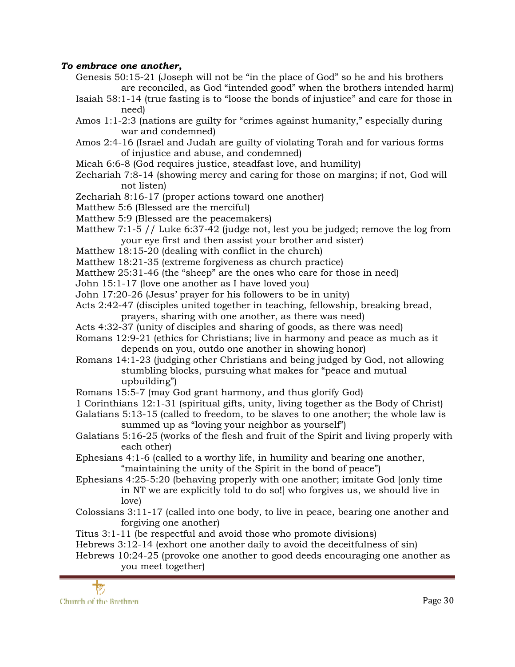#### *To embrace one another,*

- Genesis 50:15-21 (Joseph will not be "in the place of God" so he and his brothers are reconciled, as God "intended good" when the brothers intended harm)
- Isaiah 58:1-14 (true fasting is to "loose the bonds of injustice" and care for those in need)
- Amos 1:1-2:3 (nations are guilty for "crimes against humanity," especially during war and condemned)
- Amos 2:4-16 (Israel and Judah are guilty of violating Torah and for various forms of injustice and abuse, and condemned)
- Micah 6:6-8 (God requires justice, steadfast love, and humility)
- Zechariah 7:8-14 (showing mercy and caring for those on margins; if not, God will not listen)
- Zechariah 8:16-17 (proper actions toward one another)
- Matthew 5:6 (Blessed are the merciful)
- Matthew 5:9 (Blessed are the peacemakers)
- Matthew 7:1-5 // Luke 6:37-42 (judge not, lest you be judged; remove the log from your eye first and then assist your brother and sister)
- Matthew 18:15-20 (dealing with conflict in the church)
- Matthew 18:21-35 (extreme forgiveness as church practice)
- Matthew 25:31-46 (the "sheep" are the ones who care for those in need)
- John 15:1-17 (love one another as I have loved you)
- John 17:20-26 (Jesus' prayer for his followers to be in unity)
- Acts 2:42-47 (disciples united together in teaching, fellowship, breaking bread, prayers, sharing with one another, as there was need)
- Acts 4:32-37 (unity of disciples and sharing of goods, as there was need)
- Romans 12:9-21 (ethics for Christians; live in harmony and peace as much as it depends on you, outdo one another in showing honor)
- Romans 14:1-23 (judging other Christians and being judged by God, not allowing stumbling blocks, pursuing what makes for "peace and mutual upbuilding")
- Romans 15:5-7 (may God grant harmony, and thus glorify God)
- 1 Corinthians 12:1-31 (spiritual gifts, unity, living together as the Body of Christ)
- Galatians 5:13-15 (called to freedom, to be slaves to one another; the whole law is summed up as "loving your neighbor as yourself")
- Galatians 5:16-25 (works of the flesh and fruit of the Spirit and living properly with each other)
- Ephesians 4:1-6 (called to a worthy life, in humility and bearing one another, "maintaining the unity of the Spirit in the bond of peace")
- Ephesians 4:25-5:20 (behaving properly with one another; imitate God [only time in NT we are explicitly told to do so!] who forgives us, we should live in love)
- Colossians 3:11-17 (called into one body, to live in peace, bearing one another and forgiving one another)
- Titus 3:1-11 (be respectful and avoid those who promote divisions)
- Hebrews 3:12-14 (exhort one another daily to avoid the deceitfulness of sin)

Hebrews 10:24-25 (provoke one another to good deeds encouraging one another as you meet together)